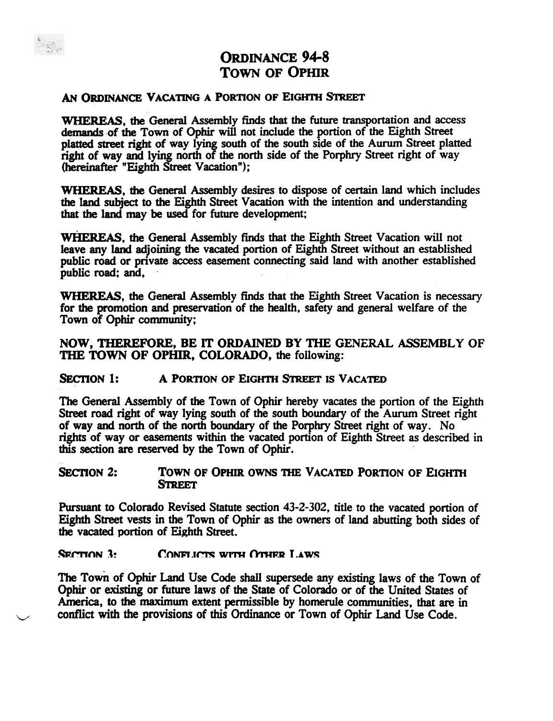

# ORDINANCE 94-8 TOWN OF OPHIR

## AN ORDINANCE VACATING A PORTION OF EIGHTH STREET

WHEREAS, the General Assembly finds that the future transportation and access demands of the Town of Ophir will not include the portion of the Eighth Street platted street right of way lying south of the south side of the Aurum Street platted right of way and lying north of the north side of the Porphry Street right of way (hereinafter "Eighth Street Vacation");

WHEREAS, the General Assembly desires to dispose of certain land which includes the land subject to the Eighth Street Vacation with the intention and understanding that the land may be used for future development;

WHEREAS, the General Assembly finds that the Eighth Street Vacation will not leave any land adjoining the vacated portion of Eighth Street without an established public road or private access easement connecting said land with another established public road; and,

WHEREAS, the General Assembly finds that the Eighth Street Vacation is necessary for the promotion and preservation of the health, safety and general welfare of the Town of Ophir community;

## NOW, THEREFORE, BE IT ORDAINED BY THE GENERAL ASSEMBLY OF THE TOWN OF OPHIR, COLORADO, the following:

## SECTION 1: A PORTION OF EIGHTH STREET IS VACATED

The General Assembly of the Town of Ophir hereby vacates the portion of the Eighth Street road right of way lying south of the south boundary of the Aurum Street right of way and north of the north boundary of the Porphry Street right of way. No rights of way or easements within the vacated portion of Eighth Street as described in this section are reserved by the Town of Ophir. .

## SECTION 2: TOWN OF OPHIR OWNS THE VACATED PORTION OF EIGHTH **STREET**

Pursuant to Colorado Revised Statute section 43-2-302, title to the vacated portion of Eighth Street vests in the Town of Ophir as the owners of land abutting both sides of the vacated portion of Eighth Street.

#### SECTION 3: CONFLICTS WITH OTHER LAWS

The Town of Ophir Land Use Code shall supersede any existing laws of the Town of Ophir or existing or future laws of the State of Colorado or of the United States of America, to the maximum extent pennissible by homerule communities, that are in conflict with the provisions of this Ordinance or Town of Ophir Land Use Code.